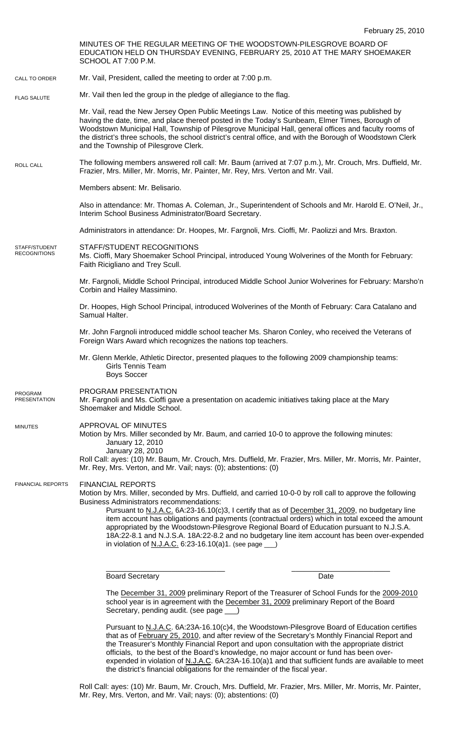February 25, 2010 MINUTES OF THE REGULAR MEETING OF THE WOODSTOWN-PILESGROVE BOARD OF EDUCATION HELD ON THURSDAY EVENING, FEBRUARY 25, 2010 AT THE MARY SHOEMAKER SCHOOL AT 7:00 P.M. Mr. Vail, President, called the meeting to order at 7:00 p.m. Mr. Vail then led the group in the pledge of allegiance to the flag. Mr. Vail, read the New Jersey Open Public Meetings Law. Notice of this meeting was published by having the date, time, and place thereof posted in the Today's Sunbeam, Elmer Times, Borough of Woodstown Municipal Hall, Township of Pilesgrove Municipal Hall, general offices and faculty rooms of the district's three schools, the school district's central office, and with the Borough of Woodstown Clerk and the Township of Pilesgrove Clerk. The following members answered roll call: Mr. Baum (arrived at 7:07 p.m.), Mr. Crouch, Mrs. Duffield, Mr. Frazier, Mrs. Miller, Mr. Morris, Mr. Painter, Mr. Rey, Mrs. Verton and Mr. Vail. Members absent: Mr. Belisario. Also in attendance: Mr. Thomas A. Coleman, Jr., Superintendent of Schools and Mr. Harold E. O'Neil, Jr., Interim School Business Administrator/Board Secretary. Administrators in attendance: Dr. Hoopes, Mr. Fargnoli, Mrs. Cioffi, Mr. Paolizzi and Mrs. Braxton. STAFF/STUDENT RECOGNITIONS Ms. Cioffi, Mary Shoemaker School Principal, introduced Young Wolverines of the Month for February: Faith Ricigliano and Trey Scull. Mr. Fargnoli, Middle School Principal, introduced Middle School Junior Wolverines for February: Marsho'n Corbin and Hailey Massimino. Dr. Hoopes, High School Principal, introduced Wolverines of the Month of February: Cara Catalano and Samual Halter. Mr. John Fargnoli introduced middle school teacher Ms. Sharon Conley, who received the Veterans of Foreign Wars Award which recognizes the nations top teachers. Mr. Glenn Merkle, Athletic Director, presented plaques to the following 2009 championship teams: Girls Tennis Team Boys Soccer PROGRAM PRESENTATION Mr. Fargnoli and Ms. Cioffi gave a presentation on academic initiatives taking place at the Mary Shoemaker and Middle School. APPROVAL OF MINUTES Motion by Mrs. Miller seconded by Mr. Baum, and carried 10-0 to approve the following minutes: January 12, 2010 January 28, 2010 Roll Call: ayes: (10) Mr. Baum, Mr. Crouch, Mrs. Duffield, Mr. Frazier, Mrs. Miller, Mr. Morris, Mr. Painter, Mr. Rey, Mrs. Verton, and Mr. Vail; nays: (0); abstentions: (0) FINANCIAL REPORTS Motion by Mrs. Miller, seconded by Mrs. Duffield, and carried 10-0-0 by roll call to approve the following Business Administrators recommendations: Pursuant to N.J.A.C. 6A:23-16.10(c)3, I certify that as of December 31, 2009, no budgetary line item account has obligations and payments (contractual orders) which in total exceed the amount appropriated by the Woodstown-Pilesgrove Regional Board of Education pursuant to N.J.S.A. 18A:22-8.1 and N.J.S.A. 18A:22-8.2 and no budgetary line item account has been over-expended in violation of  $N.J.A.C.$  6:23-16.10(a)1. (see page \_\_\_\_\_\_\_\_\_\_\_\_\_\_\_\_\_\_\_\_\_\_\_\_\_\_\_\_\_ \_\_\_\_\_\_\_\_\_\_\_\_\_\_\_\_\_\_\_\_\_\_\_\_ Board Secretary **Date** CALL TO ORDER ROLL CALL FLAG SALUTE MINUTES FINANCIAL REPORTS STAFF/STUDENT RECOGNITIONS PROGRAM PRESENTATION

The December 31, 2009 preliminary Report of the Treasurer of School Funds for the 2009-2010 school year is in agreement with the December 31, 2009 preliminary Report of the Board Secretary, pending audit. (see page \_\_\_)

Pursuant to N.J.A.C. 6A:23A-16.10(c)4, the Woodstown-Pilesgrove Board of Education certifies that as of February 25, 2010, and after review of the Secretary's Monthly Financial Report and the Treasurer's Monthly Financial Report and upon consultation with the appropriate district officials, to the best of the Board's knowledge, no major account or fund has been overexpended in violation of N.J.A.C. 6A:23A-16.10(a)1 and that sufficient funds are available to meet the district's financial obligations for the remainder of the fiscal year.

Roll Call: ayes: (10) Mr. Baum, Mr. Crouch, Mrs. Duffield, Mr. Frazier, Mrs. Miller, Mr. Morris, Mr. Painter, Mr. Rey, Mrs. Verton, and Mr. Vail; nays: (0); abstentions: (0)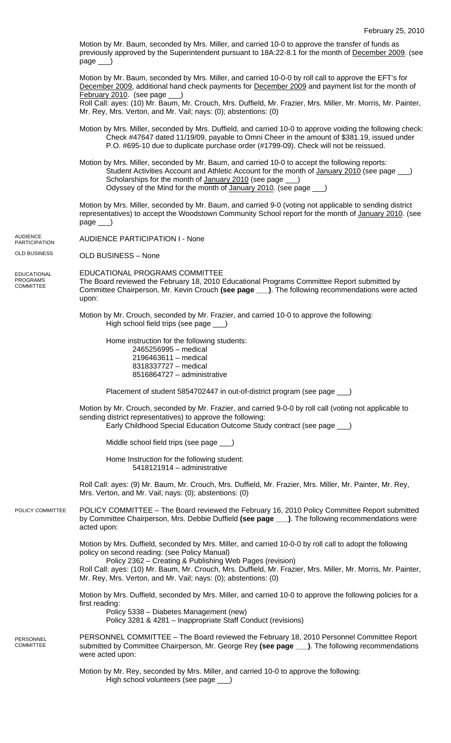Motion by Mr. Baum, seconded by Mrs. Miller, and carried 10-0 to approve the transfer of funds as previously approved by the Superintendent pursuant to 18A:22-8.1 for the month of December 2009. (see page

Motion by Mr. Baum, seconded by Mrs. Miller, and carried 10-0-0 by roll call to approve the EFT's for December 2009, additional hand check payments for December 2009 and payment list for the month of February 2010. (see page

Roll Call: ayes: (10) Mr. Baum, Mr. Crouch, Mrs. Duffield, Mr. Frazier, Mrs. Miller, Mr. Morris, Mr. Painter, Mr. Rey, Mrs. Verton, and Mr. Vail; nays: (0); abstentions: (0)

- Motion by Mrs. Miller, seconded by Mrs. Duffield, and carried 10-0 to approve voiding the following check: Check #47647 dated 11/19/09, payable to Omni Cheer in the amount of \$381.19, issued under P.O. #695-10 due to duplicate purchase order (#1799-09). Check will not be reissued.
- Motion by Mrs. Miller, seconded by Mr. Baum, and carried 10-0 to accept the following reports: Student Activities Account and Athletic Account for the month of January 2010 (see page \_\_) Scholarships for the month of January 2010 (see page  $\qquad$ ) Odyssey of the Mind for the month of January 2010. (see page

Motion by Mrs. Miller, seconded by Mr. Baum, and carried 9-0 (voting not applicable to sending district representatives) to accept the Woodstown Community School report for the month of January 2010. (see page \_\_\_)

AUDIENCE PARTICIPATION I - None AUDIENCE **PARTICIPATION** 

OLD BUSINESS – None OLD BUSINESS

EDUCATIONAL PROGRAMS **COMMITTEE** 

EDUCATIONAL PROGRAMS COMMITTEE The Board reviewed the February 18, 2010 Educational Programs Committee Report submitted by Committee Chairperson, Mr. Kevin Crouch **(see page \_\_\_)**. The following recommendations were acted upon:

Motion by Mr. Crouch, seconded by Mr. Frazier, and carried 10-0 to approve the following: High school field trips (see page \_

Home instruction for the following students: 2465256995 – medical 2196463611 – medical 8318337727 – medical 8516864727 – administrative

Placement of student 5854702447 in out-of-district program (see page )

Motion by Mr. Crouch, seconded by Mr. Frazier, and carried 9-0-0 by roll call (voting not applicable to sending district representatives) to approve the following: Early Childhood Special Education Outcome Study contract (see page \_\_\_)

Middle school field trips (see page \_\_\_)

Home Instruction for the following student: 5418121914 – administrative

Roll Call: ayes: (9) Mr. Baum, Mr. Crouch, Mrs. Duffield, Mr. Frazier, Mrs. Miller, Mr. Painter, Mr. Rey, Mrs. Verton, and Mr. Vail; nays: (0); abstentions: (0)

POLICY COMMITTEE – The Board reviewed the February 16, 2010 Policy Committee Report submitted by Committee Chairperson, Mrs. Debbie Duffield **(see page \_\_\_)**. The following recommendations were acted upon: POLICY COMMITTEE

> Motion by Mrs. Duffield, seconded by Mrs. Miller, and carried 10-0-0 by roll call to adopt the following policy on second reading: (see Policy Manual)

 Policy 2362 – Creating & Publishing Web Pages (revision) Roll Call: ayes: (10) Mr. Baum, Mr. Crouch, Mrs. Duffield, Mr. Frazier, Mrs. Miller, Mr. Morris, Mr. Painter, Mr. Rey, Mrs. Verton, and Mr. Vail; nays: (0); abstentions: (0)

Motion by Mrs. Duffield, seconded by Mrs. Miller, and carried 10-0 to approve the following policies for a first reading:

 Policy 5338 – Diabetes Management (new) Policy 3281 & 4281 – Inappropriate Staff Conduct (revisions)

PERSONNEL COMMITTEE – The Board reviewed the February 18, 2010 Personnel Committee Report submitted by Committee Chairperson, Mr. George Rey **(see page \_\_\_)**. The following recommendations were acted upon: PERSONNEL COMMITTEE

> Motion by Mr. Rey, seconded by Mrs. Miller, and carried 10-0 to approve the following: High school volunteers (see page \_\_\_)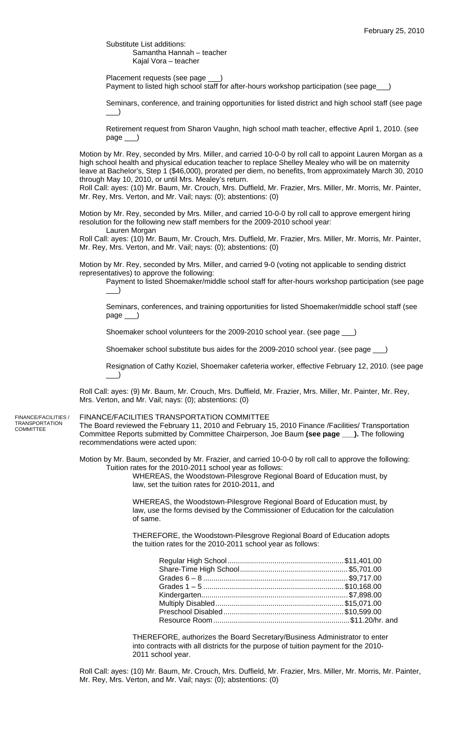Substitute List additions: Samantha Hannah – teacher Kajal Vora – teacher

Placement requests (see page

Payment to listed high school staff for after-hours workshop participation (see page\_

Seminars, conference, and training opportunities for listed district and high school staff (see page  $\rightarrow$ 

Retirement request from Sharon Vaughn, high school math teacher, effective April 1, 2010. (see page \_\_\_)

Motion by Mr. Rey, seconded by Mrs. Miller, and carried 10-0-0 by roll call to appoint Lauren Morgan as a high school health and physical education teacher to replace Shelley Mealey who will be on maternity leave at Bachelor's, Step 1 (\$46,000), prorated per diem, no benefits, from approximately March 30, 2010 through May 10, 2010, or until Mrs. Mealey's return.

Roll Call: ayes: (10) Mr. Baum, Mr. Crouch, Mrs. Duffield, Mr. Frazier, Mrs. Miller, Mr. Morris, Mr. Painter, Mr. Rey, Mrs. Verton, and Mr. Vail; nays: (0); abstentions: (0)

Motion by Mr. Rey, seconded by Mrs. Miller, and carried 10-0-0 by roll call to approve emergent hiring resolution for the following new staff members for the 2009-2010 school year: Lauren Morgan

Roll Call: ayes: (10) Mr. Baum, Mr. Crouch, Mrs. Duffield, Mr. Frazier, Mrs. Miller, Mr. Morris, Mr. Painter, Mr. Rey, Mrs. Verton, and Mr. Vail; nays: (0); abstentions: (0)

Motion by Mr. Rey, seconded by Mrs. Miller, and carried 9-0 (voting not applicable to sending district representatives) to approve the following:

Payment to listed Shoemaker/middle school staff for after-hours workshop participation (see page  $\Box$ 

Seminars, conferences, and training opportunities for listed Shoemaker/middle school staff (see page \_\_\_)

Shoemaker school volunteers for the 2009-2010 school year. (see page \_\_\_)

Shoemaker school substitute bus aides for the 2009-2010 school year. (see page \_\_\_)

Resignation of Cathy Koziel, Shoemaker cafeteria worker, effective February 12, 2010. (see page  $\rule{1em}{0.15mm}$ 

Roll Call: ayes: (9) Mr. Baum, Mr. Crouch, Mrs. Duffield, Mr. Frazier, Mrs. Miller, Mr. Painter, Mr. Rey, Mrs. Verton, and Mr. Vail; nays: (0); abstentions: (0)

FINANCE/FACILITIES / TRANSPORTATION **COMMITTEE** 

# FINANCE/FACILITIES TRANSPORTATION COMMITTEE

The Board reviewed the February 11, 2010 and February 15, 2010 Finance /Facilities/ Transportation Committee Reports submitted by Committee Chairperson, Joe Baum **(see page \_\_\_).** The following recommendations were acted upon:

Motion by Mr. Baum, seconded by Mr. Frazier, and carried 10-0-0 by roll call to approve the following: Tuition rates for the 2010-2011 school year as follows:

WHEREAS, the Woodstown-Pilesgrove Regional Board of Education must, by law, set the tuition rates for 2010-2011, and

WHEREAS, the Woodstown-Pilesgrove Regional Board of Education must, by law, use the forms devised by the Commissioner of Education for the calculation of same.

THEREFORE, the Woodstown-Pilesgrove Regional Board of Education adopts the tuition rates for the 2010-2011 school year as follows:

THEREFORE, authorizes the Board Secretary/Business Administrator to enter into contracts with all districts for the purpose of tuition payment for the 2010- 2011 school year.

Roll Call: ayes: (10) Mr. Baum, Mr. Crouch, Mrs. Duffield, Mr. Frazier, Mrs. Miller, Mr. Morris, Mr. Painter, Mr. Rey, Mrs. Verton, and Mr. Vail; nays: (0); abstentions: (0)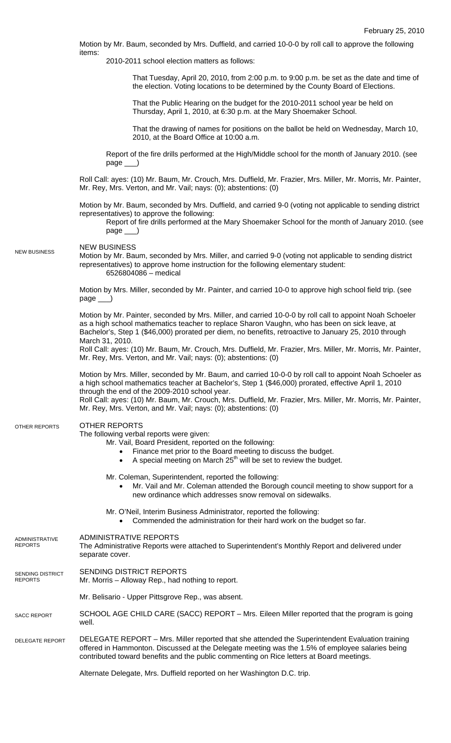Motion by Mr. Baum, seconded by Mrs. Duffield, and carried 10-0-0 by roll call to approve the following items:

2010-2011 school election matters as follows:

That Tuesday, April 20, 2010, from 2:00 p.m. to 9:00 p.m. be set as the date and time of the election. Voting locations to be determined by the County Board of Elections.

That the Public Hearing on the budget for the 2010-2011 school year be held on Thursday, April 1, 2010, at 6:30 p.m. at the Mary Shoemaker School.

That the drawing of names for positions on the ballot be held on Wednesday, March 10, 2010, at the Board Office at 10:00 a.m.

Report of the fire drills performed at the High/Middle school for the month of January 2010. (see page \_\_\_)

Roll Call: ayes: (10) Mr. Baum, Mr. Crouch, Mrs. Duffield, Mr. Frazier, Mrs. Miller, Mr. Morris, Mr. Painter, Mr. Rey, Mrs. Verton, and Mr. Vail; nays: (0); abstentions: (0)

Motion by Mr. Baum, seconded by Mrs. Duffield, and carried 9-0 (voting not applicable to sending district representatives) to approve the following:

Report of fire drills performed at the Mary Shoemaker School for the month of January 2010. (see page \_\_\_)

NEW BUSINESS NEW BUSINESS

Motion by Mr. Baum, seconded by Mrs. Miller, and carried 9-0 (voting not applicable to sending district representatives) to approve home instruction for the following elementary student: 6526804086 – medical

Motion by Mrs. Miller, seconded by Mr. Painter, and carried 10-0 to approve high school field trip. (see  $page$ <sub>\_\_\_</sub>)

Motion by Mr. Painter, seconded by Mrs. Miller, and carried 10-0-0 by roll call to appoint Noah Schoeler as a high school mathematics teacher to replace Sharon Vaughn, who has been on sick leave, at Bachelor's, Step 1 (\$46,000) prorated per diem, no benefits, retroactive to January 25, 2010 through March 31, 2010.

Roll Call: ayes: (10) Mr. Baum, Mr. Crouch, Mrs. Duffield, Mr. Frazier, Mrs. Miller, Mr. Morris, Mr. Painter, Mr. Rey, Mrs. Verton, and Mr. Vail; nays: (0); abstentions: (0)

Motion by Mrs. Miller, seconded by Mr. Baum, and carried 10-0-0 by roll call to appoint Noah Schoeler as a high school mathematics teacher at Bachelor's, Step 1 (\$46,000) prorated, effective April 1, 2010 through the end of the 2009-2010 school year.

Roll Call: ayes: (10) Mr. Baum, Mr. Crouch, Mrs. Duffield, Mr. Frazier, Mrs. Miller, Mr. Morris, Mr. Painter, Mr. Rey, Mrs. Verton, and Mr. Vail; nays: (0); abstentions: (0)

#### OTHER REPORTS OTHER REPORTS

The following verbal reports were given:

Mr. Vail, Board President, reported on the following:

- Finance met prior to the Board meeting to discuss the budget.
- A special meeting on March  $25<sup>th</sup>$  will be set to review the budget.
- Mr. Coleman, Superintendent, reported the following:
	- Mr. Vail and Mr. Coleman attended the Borough council meeting to show support for a new ordinance which addresses snow removal on sidewalks.
- Mr. O'Neil, Interim Business Administrator, reported the following: • Commended the administration for their hard work on the budget so far.

#### ADMINISTRATIVE REPORTS ADMINISTRATIVE

## The Administrative Reports were attached to Superintendent's Monthly Report and delivered under separate cover. REPORTS

- SENDING DISTRICT REPORTS SENDING DISTRICT
- Mr. Morris Alloway Rep., had nothing to report. REPORTS

Mr. Belisario - Upper Pittsgrove Rep., was absent.

### SCHOOL AGE CHILD CARE (SACC) REPORT – Mrs. Eileen Miller reported that the program is going well. SACC REPORT

DELEGATE REPORT – Mrs. Miller reported that she attended the Superintendent Evaluation training offered in Hammonton. Discussed at the Delegate meeting was the 1.5% of employee salaries being contributed toward benefits and the public commenting on Rice letters at Board meetings. DELEGATE REPORT

Alternate Delegate, Mrs. Duffield reported on her Washington D.C. trip.